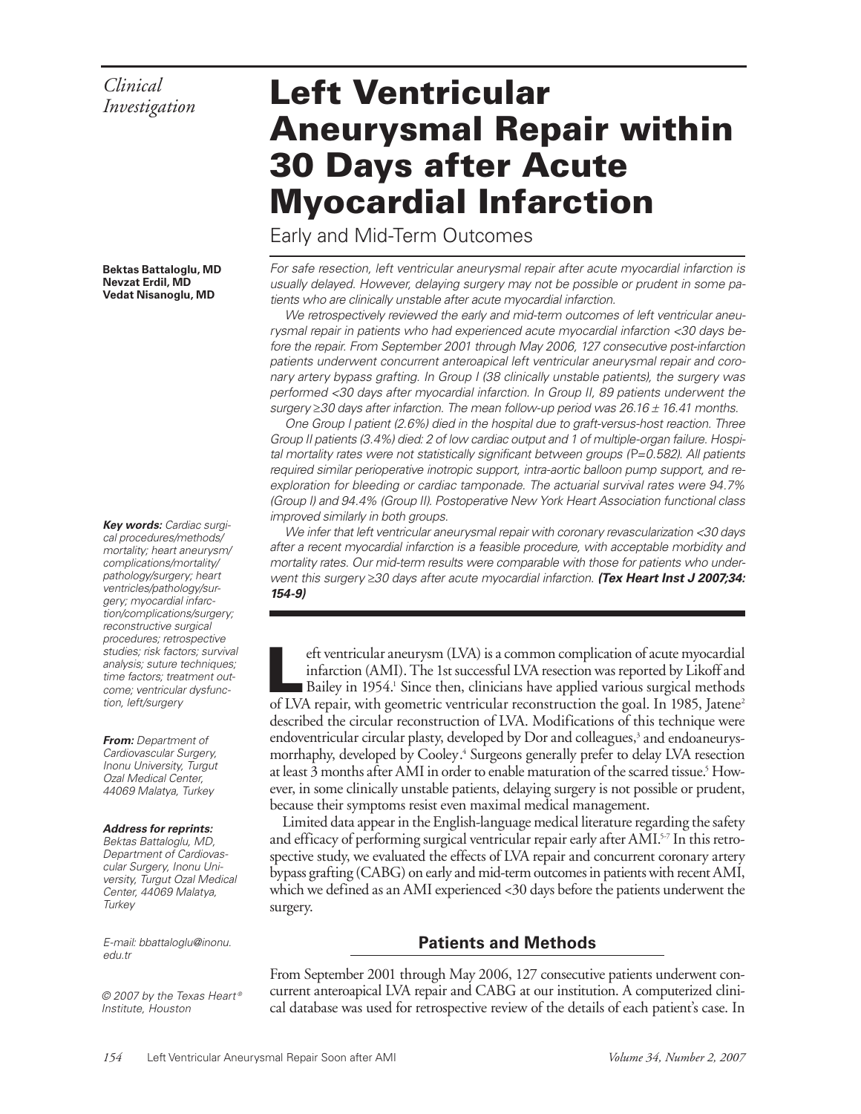## *Clinical Investigation*

**Bektas Battaloglu, MD Nevzat Erdil, MD Vedat Nisanoglu, MD**

**Key words:** Cardiac surgical procedures/methods/ mortality; heart aneurysm/ complications/mortality/ pathology/surgery; heart ventricles/pathology/surgery; myocardial infarction/complications/surgery; reconstructive surgical procedures; retrospective studies; risk factors; survival analysis; suture techniques; time factors; treatment outcome; ventricular dysfunction, left/surgery

**From:** Department of Cardiovascular Surgery, Inonu University, Turgut Ozal Medical Center, 44069 Malatya, Turkey

#### **Address for reprints:**

Bektas Battaloglu, MD, Department of Cardiovascular Surgery, Inonu University, Turgut Ozal Medical Center, 44069 Malatya, **Turkey** 

E-mail: bbattaloglu@inonu. edu.tr

© 2007 by the Texas Heart® Institute, Houston

# Left Ventricular Aneurysmal Repair within 30 Days after Acute Myocardial Infarction

Early and Mid-Term Outcomes

For safe resection, left ventricular aneurysmal repair after acute myocardial infarction is usually delayed. However, delaying surgery may not be possible or prudent in some patients who are clinically unstable after acute myocardial infarction.

We retrospectively reviewed the early and mid-term outcomes of left ventricular aneurysmal repair in patients who had experienced acute myocardial infarction <30 days before the repair. From September 2001 through May 2006, 127 consecutive post-infarction patients underwent concurrent anteroapical left ventricular aneurysmal repair and coronary artery bypass grafting. In Group I (38 clinically unstable patients), the surgery was performed <30 days after myocardial infarction. In Group II, 89 patients underwent the surgery ≥30 days after infarction. The mean follow-up period was 26.16  $\pm$  16.41 months.

One Group I patient (2.6%) died in the hospital due to graft-versus-host reaction. Three Group II patients (3.4%) died: 2 of low cardiac output and 1 of multiple-organ failure. Hospital mortality rates were not statistically significant between groups (P=0.582). All patients required similar perioperative inotropic support, intra-aortic balloon pump support, and reexploration for bleeding or cardiac tamponade. The actuarial survival rates were 94.7% (Group I) and 94.4% (Group II). Postoperative New York Heart Association functional class improved similarly in both groups.

We infer that left ventricular aneurysmal repair with coronary revascularization <30 days after a recent myocardial infarction is a feasible procedure, with acceptable morbidity and mortality rates. Our mid-term results were comparable with those for patients who underwent this surgery ≥30 days after acute myocardial infarction. **(Tex Heart Inst J 2007;34: 154-9)**

eft ventricular aneurysm (LVA) is a common complication of acute myocardial infarction (AMI). The 1st successful LVA resection was reported by Likoff and Bailey in 1954.<sup>1</sup> Since then, clinicians have applied various surgical methods of LVA repair, with geometric ventricular reconstruction the goal. In 1985, Jatene<sup>2</sup> described the circular reconstruction of LVA. Modifications of this technique were endoventricular circular plasty, developed by Dor and colleagues,<sup>3</sup> and endoaneurysmorrhaphy, developed by Cooley.4 Surgeons generally prefer to delay LVA resection at least 3 months after AMI in order to enable maturation of the scarred tissue.<sup>5</sup> However, in some clinically unstable patients, delaying surgery is not possible or prudent, because their symptoms resist even maximal medical management.

 Limited data appear in the English-language medical literature regarding the safety and efficacy of performing surgical ventricular repair early after AMI.<sup>5-7</sup> In this retrospective study, we evaluated the effects of LVA repair and concurrent coronary artery bypass grafting (CABG) on early and mid-term outcomes in patients with recent AMI, which we defined as an AMI experienced <30 days before the patients underwent the surgery.

#### **Patients and Methods**

From September 2001 through May 2006, 127 consecutive patients underwent concurrent anteroapical LVA repair and CABG at our institution. A computerized clinical database was used for retrospective review of the details of each patient's case. In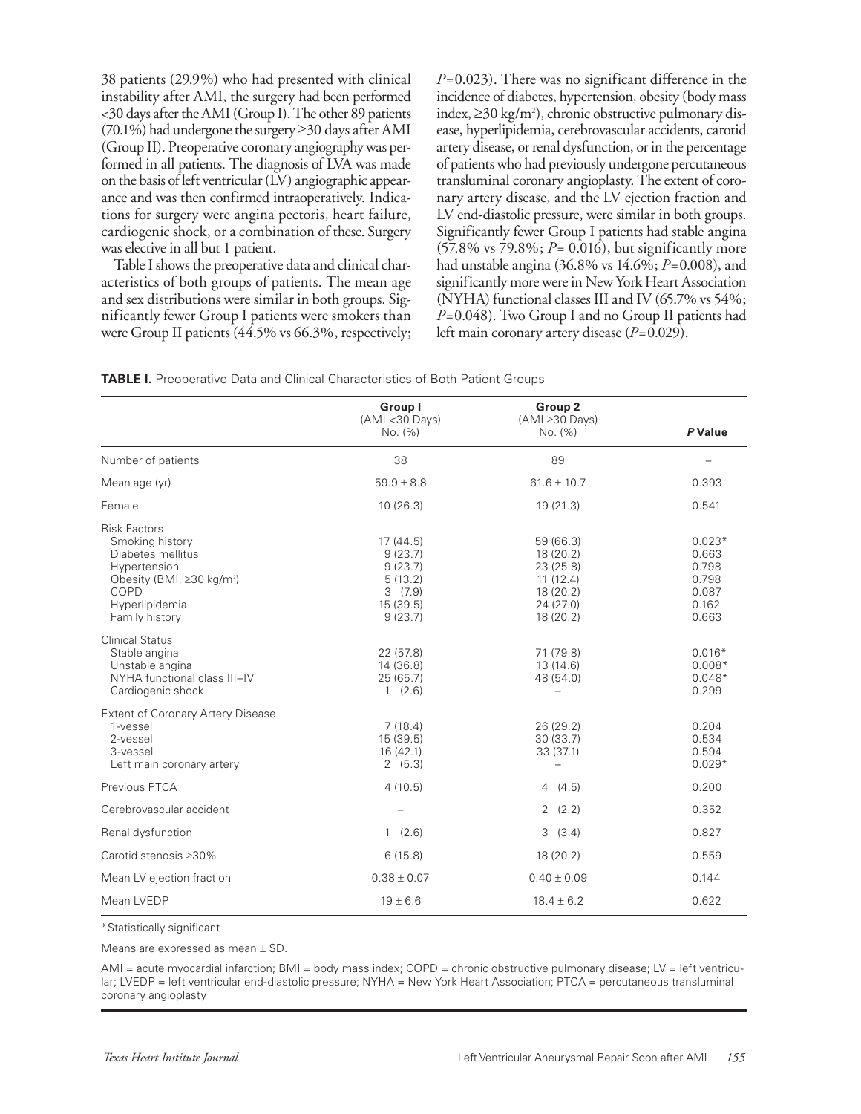38 patients (29.9%) who had presented with clinical instability after AMI, the surgery had been performed <30 days after the AMI (Group I). The other 89 patients (70.1%) had undergone the surgery ≥30 days after AMI (Group II). Preoperative coronary angiography was performed in all patients. The diagnosis of LVA was made on the basis of left ventricular (LV) angiographic appearance and was then confirmed intraoperatively. Indications for surgery were angina pectoris, heart failure, cardiogenic shock, or a combination of these. Surgery was elective in all but 1 patient.

 Table I shows the preoperative data and clinical characteristics of both groups of patients. The mean age and sex distributions were similar in both groups. Significantly fewer Group I patients were smokers than were Group II patients (44.5% vs 66.3%, respectively; *P*=0.023). There was no significant difference in the incidence of diabetes, hypertension, obesity (body mass index, ≥30 kg/m2 ), chronic obstructive pulmonary disease, hyperlipidemia, cerebrovascular accidents, carotid artery disease, or renal dysfunction, or in the percentage of patients who had previously undergone percutaneous transluminal coronary angioplasty. The extent of coronary artery disease, and the LV ejection fraction and LV end-diastolic pressure, were similar in both groups. Significantly fewer Group I patients had stable angina (57.8% vs 79.8%; *P*= 0.016), but significantly more had unstable angina (36.8% vs 14.6%; *P*=0.008), and significantly more were in New York Heart Association (NYHA) functional classes III and IV (65.7% vs 54%; *P*=0.048). Two Group I and no Group II patients had left main coronary artery disease (*P*=0.029).

| TABLE I. Preoperative Data and Clinical Characteristics of Both Patient Groups |  |
|--------------------------------------------------------------------------------|--|
|--------------------------------------------------------------------------------|--|

|                                                                                                                                                                        | Group I<br>$(AMI < 30$ Days)                                               | <b>Group 2</b><br>$(AMI \geq 30$ Days)                                                |                                                                |
|------------------------------------------------------------------------------------------------------------------------------------------------------------------------|----------------------------------------------------------------------------|---------------------------------------------------------------------------------------|----------------------------------------------------------------|
|                                                                                                                                                                        | No. (%)                                                                    | No. (%)                                                                               | P Value                                                        |
| Number of patients                                                                                                                                                     | 38                                                                         | 89                                                                                    |                                                                |
| Mean age (yr)                                                                                                                                                          | $59.9 \pm 8.8$                                                             | $61.6 \pm 10.7$                                                                       | 0.393                                                          |
| Female                                                                                                                                                                 | 10(26.3)                                                                   | 19(21.3)                                                                              | 0.541                                                          |
| <b>Risk Factors</b><br>Smoking history<br>Diabetes mellitus<br>Hypertension<br>Obesity (BMI, $\geq$ 30 kg/m <sup>2</sup> )<br>COPD<br>Hyperlipidemia<br>Family history | 17(44.5)<br>9(23.7)<br>9(23.7)<br>5(13.2)<br>3(7.9)<br>15(39.5)<br>9(23.7) | 59 (66.3)<br>18 (20.2)<br>23 (25.8)<br>11(12.4)<br>18 (20.2)<br>24 (27.0)<br>18(20.2) | $0.023*$<br>0.663<br>0.798<br>0.798<br>0.087<br>0.162<br>0.663 |
| <b>Clinical Status</b><br>Stable angina<br>Unstable angina<br>NYHA functional class III-IV<br>Cardiogenic shock                                                        | 22 (57.8)<br>14 (36.8)<br>25(65.7)<br>1(2.6)                               | 71 (79.8)<br>13(14.6)<br>48 (54.0)                                                    | $0.016*$<br>$0.008*$<br>$0.048*$<br>0.299                      |
| <b>Extent of Coronary Artery Disease</b><br>1-vessel<br>2-vessel<br>3-vessel<br>Left main coronary artery                                                              | 7(18.4)<br>15(39.5)<br>16(42.1)<br>2(5.3)                                  | 26 (29.2)<br>30(33.7)<br>33(37.1)<br>$\overline{\phantom{0}}$                         | 0.204<br>0.534<br>0.594<br>$0.029*$                            |
| Previous PTCA                                                                                                                                                          | 4(10.5)                                                                    | 4(4.5)                                                                                | 0.200                                                          |
| Cerebrovascular accident                                                                                                                                               |                                                                            | 2(2.2)                                                                                | 0.352                                                          |
| Renal dysfunction                                                                                                                                                      | 1(2.6)                                                                     | 3<br>(3.4)                                                                            | 0.827                                                          |
| Carotid stenosis > 30%                                                                                                                                                 | 6(15.8)                                                                    | 18(20.2)                                                                              | 0.559                                                          |
| Mean LV ejection fraction                                                                                                                                              | $0.38 \pm 0.07$                                                            | $0.40 \pm 0.09$                                                                       | 0.144                                                          |
| Mean LVEDP                                                                                                                                                             | $19 \pm 6.6$                                                               | $18.4 \pm 6.2$                                                                        | 0.622                                                          |

\*Statistically significant

Means are expressed as mean ± SD.

 $AMI =$  acute myocardial infarction;  $BMI =$  body mass index;  $COPD =$  chronic obstructive pulmonary disease;  $LV =$  left ventricular; LVEDP = left ventricular end-diastolic pressure; NYHA = New York Heart Association; PTCA = percutaneous transluminal coronary angioplasty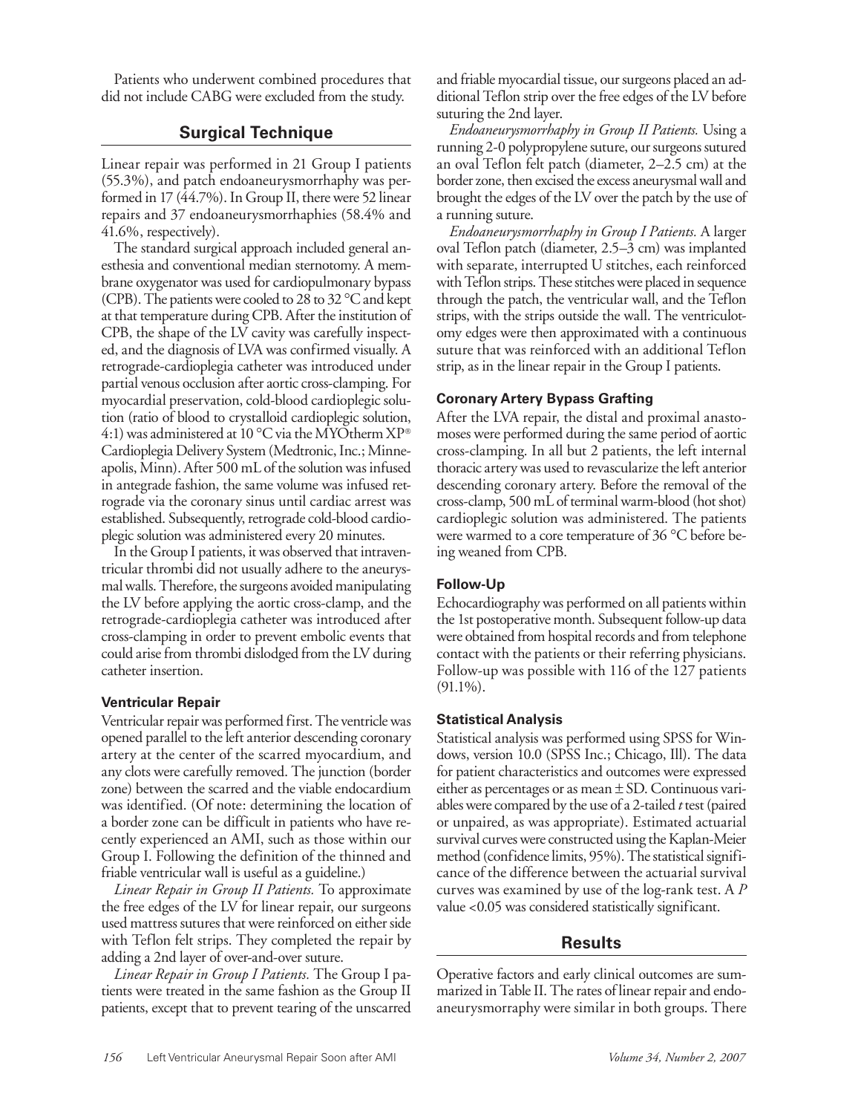Patients who underwent combined procedures that did not include CABG were excluded from the study.

#### **Surgical Technique**

Linear repair was performed in 21 Group I patients (55.3%), and patch endoaneurysmorrhaphy was performed in 17 (44.7%). In Group II, there were 52 linear repairs and 37 endoaneurysmorrhaphies (58.4% and 41.6%, respectively).

 The standard surgical approach included general anesthesia and conventional median sternotomy. A membrane oxygenator was used for cardiopulmonary bypass (CPB). The patients were cooled to 28 to 32 °C and kept at that temperature during CPB. After the institution of CPB, the shape of the LV cavity was carefully inspected, and the diagnosis of LVA was confirmed visually. A retrograde-cardioplegia catheter was introduced under partial venous occlusion after aortic cross-clamping. For myocardial preservation, cold-blood cardioplegic solution (ratio of blood to crystalloid cardioplegic solution, 4:1) was administered at 10 °C via the MYOtherm  $XP^*$ Cardioplegia Delivery System (Medtronic, Inc.; Minneapolis, Minn). After 500 mL of the solution was infused in antegrade fashion, the same volume was infused retrograde via the coronary sinus until cardiac arrest was established. Subsequently, retrograde cold-blood cardioplegic solution was administered every 20 minutes.

 In the Group I patients, it was observed that intraventricular thrombi did not usually adhere to the aneurysmal walls. Therefore, the surgeons avoided manipulating the LV before applying the aortic cross-clamp, and the retrograde-cardioplegia catheter was introduced after cross-clamping in order to prevent embolic events that could arise from thrombi dislodged from the LV during catheter insertion.

#### **Ventricular Repair**

Ventricular repair was performed first. The ventricle was opened parallel to the left anterior descending coronary artery at the center of the scarred myocardium, and any clots were carefully removed. The junction (border zone) between the scarred and the viable endocardium was identified. (Of note: determining the location of a border zone can be difficult in patients who have recently experienced an AMI, such as those within our Group I. Following the definition of the thinned and friable ventricular wall is useful as a guideline.)

*Linear Repair in Group II Patients.* To approximate the free edges of the LV for linear repair, our surgeons used mattress sutures that were reinforced on either side with Teflon felt strips. They completed the repair by adding a 2nd layer of over-and-over suture.

*Linear Repair in Group I Patients.* The Group I patients were treated in the same fashion as the Group II patients, except that to prevent tearing of the unscarred and friable myocardial tissue, our surgeons placed an additional Teflon strip over the free edges of the LV before suturing the 2nd layer.

*Endoaneurysmorrhaphy in Group II Patients.* Using a running 2-0 polypropylene suture, our surgeons sutured an oval Teflon felt patch (diameter, 2–2.5 cm) at the border zone, then excised the excess aneurysmal wall and brought the edges of the LV over the patch by the use of a running suture.

*Endoaneurysmorrhaphy in Group I Patients.* A larger oval Teflon patch (diameter, 2.5–3 cm) was implanted with separate, interrupted U stitches, each reinforced with Teflon strips. These stitches were placed in sequence through the patch, the ventricular wall, and the Teflon strips, with the strips outside the wall. The ventriculotomy edges were then approximated with a continuous suture that was reinforced with an additional Teflon strip, as in the linear repair in the Group I patients.

#### **Coronary Artery Bypass Grafting**

After the LVA repair, the distal and proximal anastomoses were performed during the same period of aortic cross-clamping. In all but 2 patients, the left internal thoracic artery was used to revascularize the left anterior descending coronary artery. Before the removal of the cross-clamp, 500 mL of terminal warm-blood (hot shot) cardioplegic solution was administered. The patients were warmed to a core temperature of 36 °C before being weaned from CPB.

#### **Follow-Up**

Echocardiography was performed on all patients within the 1st postoperative month. Subsequent follow-up data were obtained from hospital records and from telephone contact with the patients or their referring physicians. Follow-up was possible with 116 of the 127 patients  $(91.1\%)$ .

#### **Statistical Analysis**

Statistical analysis was performed using SPSS for Windows, version 10.0 (SPSS Inc.; Chicago, Ill). The data for patient characteristics and outcomes were expressed either as percentages or as mean  $\pm$  SD. Continuous variables were compared by the use of a 2-tailed *t* test (paired or unpaired, as was appropriate). Estimated actuarial survival curves were constructed using the Kaplan-Meier method (confidence limits, 95%). The statistical significance of the difference between the actuarial survival curves was examined by use of the log-rank test. A *P* value <0.05 was considered statistically significant.

### **Results**

Operative factors and early clinical outcomes are summarized in Table II. The rates of linear repair and endoaneurysmorraphy were similar in both groups. There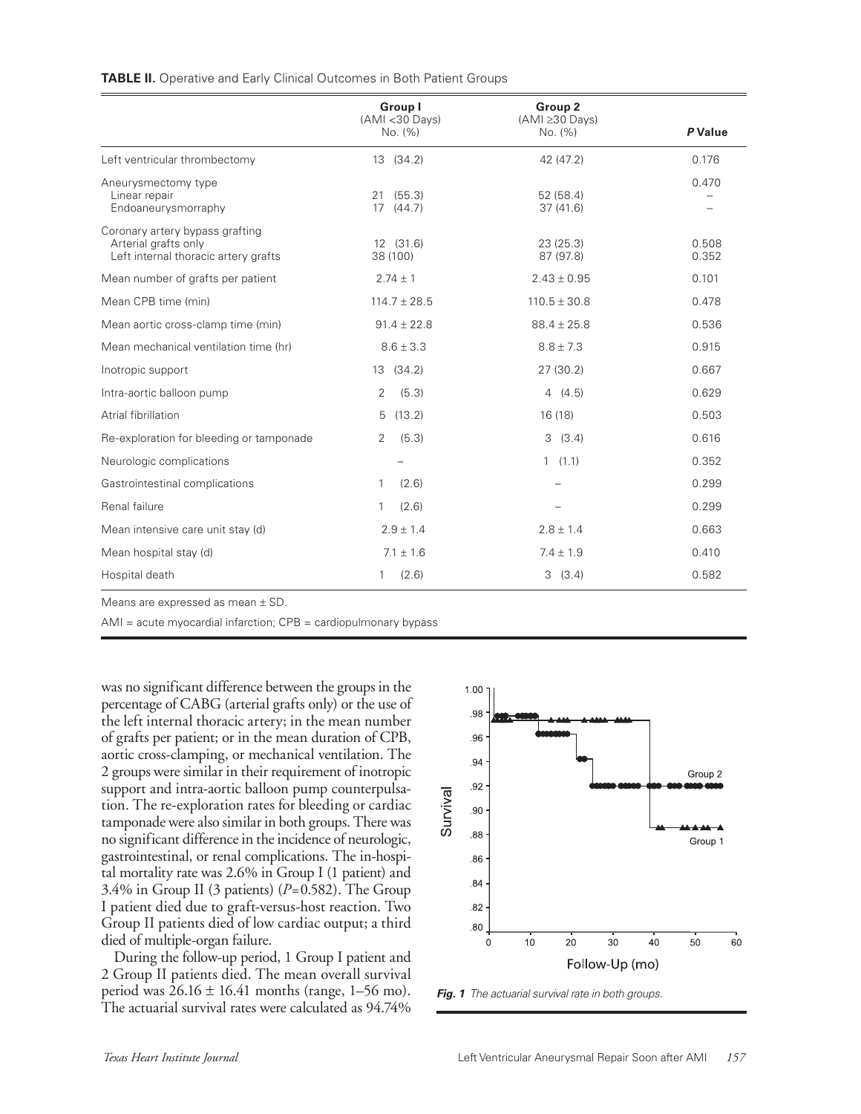| TABLE II. Operative and Early Clinical Outcomes in Both Patient Groups |  |  |
|------------------------------------------------------------------------|--|--|
|------------------------------------------------------------------------|--|--|

|                                                                                                 | Group I                      | <b>Group 2</b>                  |                |
|-------------------------------------------------------------------------------------------------|------------------------------|---------------------------------|----------------|
|                                                                                                 | $(AMI < 30$ Days)<br>No. (%) | $(AMI \geq 30$ Days)<br>No. (%) | P Value        |
| Left ventricular thrombectomy                                                                   | 13 (34.2)                    | 42 (47.2)                       | 0.176          |
| Aneurysmectomy type<br>Linear repair<br>Endoaneurysmorraphy                                     | 21 (55.3)<br>17(44.7)        | 52 (58.4)<br>37(41.6)           | 0.470          |
| Coronary artery bypass grafting<br>Arterial grafts only<br>Left internal thoracic artery grafts | 12 (31.6)<br>38 (100)        | 23(25.3)<br>87 (97.8)           | 0.508<br>0.352 |
| Mean number of grafts per patient                                                               | $2.74 \pm 1$                 | $2.43 \pm 0.95$                 | 0.101          |
| Mean CPB time (min)                                                                             | $114.7 \pm 28.5$             | $110.5 \pm 30.8$                | 0.478          |
| Mean aortic cross-clamp time (min)                                                              | $91.4 \pm 22.8$              | $88.4 \pm 25.8$                 | 0.536          |
| Mean mechanical ventilation time (hr)                                                           | $8.6 \pm 3.3$                | $8.8 \pm 7.3$                   | 0.915          |
| Inotropic support                                                                               | 13 (34.2)                    | 27(30.2)                        | 0.667          |
| Intra-aortic balloon pump                                                                       | 2<br>(5.3)                   | 4(4.5)                          | 0.629          |
| Atrial fibrillation                                                                             | (13.2)<br>5                  | 16 (18)                         | 0.503          |
| Re-exploration for bleeding or tamponade                                                        | (5.3)<br>2                   | (3.4)<br>3                      | 0.616          |
| Neurologic complications                                                                        |                              | 1(1.1)                          | 0.352          |
| Gastrointestinal complications                                                                  | (2.6)<br>1                   |                                 | 0.299          |
| Renal failure                                                                                   | (2.6)<br>1                   |                                 | 0.299          |
| Mean intensive care unit stay (d)                                                               | $2.9 \pm 1.4$                | $2.8 \pm 1.4$                   | 0.663          |
| Mean hospital stay (d)                                                                          | $7.1 \pm 1.6$                | $7.4 \pm 1.9$                   | 0.410          |
| Hospital death                                                                                  | (2.6)<br>1                   | 3(3.4)                          | 0.582          |

Means are expressed as mean ± SD.

AMI = acute myocardial infarction; CPB = cardiopulmonary bypass

was no significant difference between the groups in the percentage of CABG (arterial grafts only) or the use of the left internal thoracic artery; in the mean number of grafts per patient; or in the mean duration of CPB, aortic cross-clamping, or mechanical ventilation. The 2 groups were similar in their requirement of inotropic support and intra-aortic balloon pump counterpulsation. The re-exploration rates for bleeding or cardiac tamponade were also similar in both groups. There was no significant difference in the incidence of neurologic, gastrointestinal, or renal complications. The in-hospital mortality rate was 2.6% in Group I (1 patient) and 3.4% in Group II (3 patients)  $(P=0.582)$ . The Group I patient died due to graft-versus-host reaction. Two Group II patients died of low cardiac output; a third died of multiple-organ failure.

 During the follow-up period, 1 Group I patient and 2 Group II patients died. The mean overall survival period was  $26.16 \pm 16.41$  months (range, 1–56 mo). The actuarial survival rates were calculated as 94.74%



Fig. 1 The actuarial survival rate in both groups.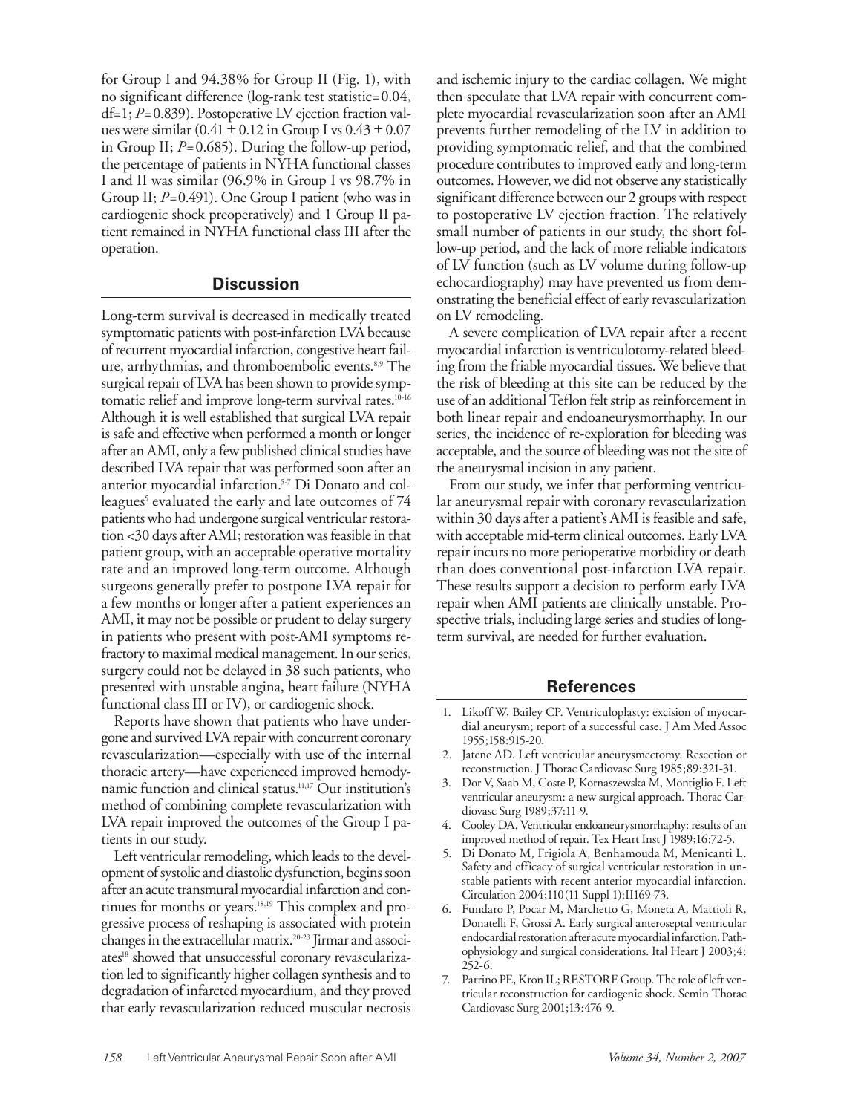for Group I and 94.38% for Group II (Fig. 1), with no significant difference (log-rank test statistic=0.04, df=1; *P*=0.839). Postoperative LV ejection fraction values were similar  $(0.41 \pm 0.12$  in Group I vs  $0.43 \pm 0.07$ in Group II; *P*=0.685). During the follow-up period, the percentage of patients in NYHA functional classes I and II was similar (96.9% in Group I vs 98.7% in Group II; *P*=0.491). One Group I patient (who was in cardiogenic shock preoperatively) and 1 Group II patient remained in NYHA functional class III after the operation.

#### **Discussion**

Long-term survival is decreased in medically treated symptomatic patients with post-infarction LVA because of recurrent myocardial infarction, congestive heart failure, arrhythmias, and thromboembolic events.<sup>8,9</sup> The surgical repair of LVA has been shown to provide symptomatic relief and improve long-term survival rates.<sup>10-16</sup> Although it is well established that surgical LVA repair is safe and effective when performed a month or longer after an AMI, only a few published clinical studies have described LVA repair that was performed soon after an anterior myocardial infarction.<sup>5-7</sup> Di Donato and colleagues<sup>5</sup> evaluated the early and late outcomes of 74 patients who had undergone surgical ventricular restoration <30 days after AMI; restoration was feasible in that patient group, with an acceptable operative mortality rate and an improved long-term outcome. Although surgeons generally prefer to postpone LVA repair for a few months or longer after a patient experiences an AMI, it may not be possible or prudent to delay surgery in patients who present with post-AMI symptoms refractory to maximal medical management. In our series, surgery could not be delayed in 38 such patients, who presented with unstable angina, heart failure (NYHA functional class III or IV), or cardiogenic shock.

 Reports have shown that patients who have undergone and survived LVA repair with concurrent coronary revascularization—especially with use of the internal thoracic artery—have experienced improved hemodynamic function and clinical status.11,17 Our institution's method of combining complete revascularization with LVA repair improved the outcomes of the Group I patients in our study.

 Left ventricular remodeling, which leads to the development of systolic and diastolic dysfunction, begins soon after an acute transmural myocardial infarction and continues for months or years.18,19 This complex and progressive process of reshaping is associated with protein changes in the extracellular matrix.20-23 Jirmar and associates<sup>18</sup> showed that unsuccessful coronary revascularization led to significantly higher collagen synthesis and to degradation of infarcted myocardium, and they proved that early revascularization reduced muscular necrosis

and ischemic injury to the cardiac collagen. We might then speculate that LVA repair with concurrent complete myocardial revascularization soon after an AMI prevents further remodeling of the LV in addition to providing symptomatic relief, and that the combined procedure contributes to improved early and long-term outcomes. However, we did not observe any statistically significant difference between our 2 groups with respect to postoperative LV ejection fraction. The relatively small number of patients in our study, the short follow-up period, and the lack of more reliable indicators of LV function (such as LV volume during follow-up echocardiography) may have prevented us from demonstrating the beneficial effect of early revascularization on LV remodeling.

 A severe complication of LVA repair after a recent myocardial infarction is ventriculotomy-related bleeding from the friable myocardial tissues. We believe that the risk of bleeding at this site can be reduced by the use of an additional Teflon felt strip as reinforcement in both linear repair and endoaneurysmorrhaphy. In our series, the incidence of re-exploration for bleeding was acceptable, and the source of bleeding was not the site of the aneurysmal incision in any patient.

 From our study, we infer that performing ventricular aneurysmal repair with coronary revascularization within 30 days after a patient's AMI is feasible and safe, with acceptable mid-term clinical outcomes. Early LVA repair incurs no more perioperative morbidity or death than does conventional post-infarction LVA repair. These results support a decision to perform early LVA repair when AMI patients are clinically unstable. Prospective trials, including large series and studies of longterm survival, are needed for further evaluation.

#### **References**

- 1. Likoff W, Bailey CP. Ventriculoplasty: excision of myocardial aneurysm; report of a successful case. J Am Med Assoc 1955;158:915-20.
- 2. Jatene AD. Left ventricular aneurysmectomy. Resection or reconstruction. J Thorac Cardiovasc Surg 1985;89:321-31.
- 3. Dor V, Saab M, Coste P, Kornaszewska M, Montiglio F. Left ventricular aneurysm: a new surgical approach. Thorac Cardiovasc Surg 1989;37:11-9.
- 4. Cooley DA. Ventricular endoaneurysmorrhaphy: results of an improved method of repair. Tex Heart Inst J 1989;16:72-5.
- 5. Di Donato M, Frigiola A, Benhamouda M, Menicanti L. Safety and efficacy of surgical ventricular restoration in unstable patients with recent anterior myocardial infarction. Circulation 2004;110(11 Suppl 1):II169-73.
- 6. Fundaro P, Pocar M, Marchetto G, Moneta A, Mattioli R, Don atelli F, Grossi A. Early surgical anteroseptal ventricular endocardial restoration after acute myocardial infarction. Pathophysiology and surgical considerations. Ital Heart J 2003;4: 252-6.
- 7. Parrino PE, Kron IL; RESTORE Group. The role of left ventricular reconstruction for cardiogenic shock. Semin Thorac Cardiovasc Surg 2001;13:476-9.